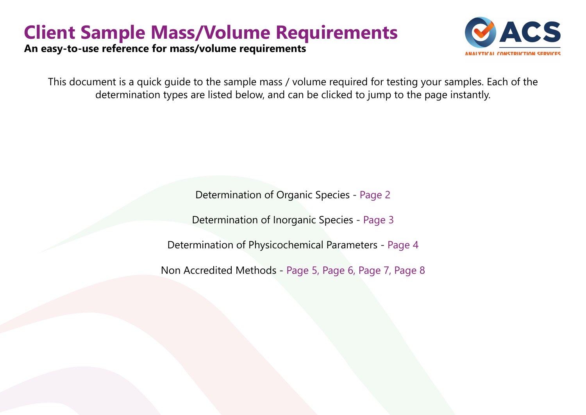## **Client Sample Mass/Volume Requirements**

**An easy-to-use reference for mass/volume requirements**

This document is a quick guide to the sample mass / volume required for testing your samples. Each of the determination types are listed below, and can be clicked to jump to the page instantly.

Determination of Organic Species - [Page](#page-1-0) 2

Determination of Inorganic Species - [Page 3](#page-3-0)

Determination of Physicochemical Parameters - [Page 4](#page-4-0)

Non Accredited Methods - [Page 5,](#page-5-0) [Page 6,](#page-6-0) [Page 7](#page-7-0), [Page 8](#page-8-0)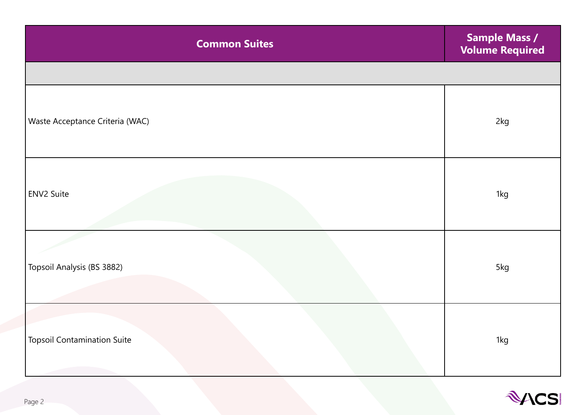<span id="page-1-0"></span>

| <b>Common Suites</b>               | <b>Sample Mass /</b><br><b>Volume Required</b> |
|------------------------------------|------------------------------------------------|
|                                    |                                                |
| Waste Acceptance Criteria (WAC)    | 2kg                                            |
| ENV2 Suite                         | 1kg                                            |
| Topsoil Analysis (BS 3882)         | 5kg                                            |
| <b>Topsoil Contamination Suite</b> | 1kg                                            |

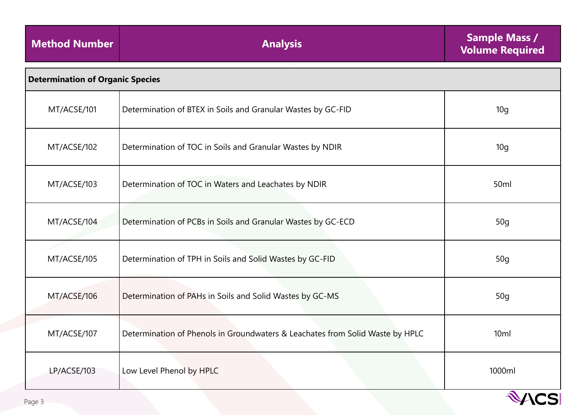| <b>Method Number</b> | <b>Analysis</b>                                                               | <b>Sample Mass /</b><br><b>Volume Required</b> |  |
|----------------------|-------------------------------------------------------------------------------|------------------------------------------------|--|
|                      | <b>Determination of Organic Species</b>                                       |                                                |  |
| MT/ACSE/101          | Determination of BTEX in Soils and Granular Wastes by GC-FID                  | 10 <sub>g</sub>                                |  |
| MT/ACSE/102          | Determination of TOC in Soils and Granular Wastes by NDIR                     | 10 <sub>g</sub>                                |  |
| MT/ACSE/103          | Determination of TOC in Waters and Leachates by NDIR                          | 50ml                                           |  |
| MT/ACSE/104          | Determination of PCBs in Soils and Granular Wastes by GC-ECD                  | 50 <sub>g</sub>                                |  |
| MT/ACSE/105          | Determination of TPH in Soils and Solid Wastes by GC-FID                      | 50 <sub>g</sub>                                |  |
| MT/ACSE/106          | Determination of PAHs in Soils and Solid Wastes by GC-MS                      | 50 <sub>g</sub>                                |  |
| MT/ACSE/107          | Determination of Phenols in Groundwaters & Leachates from Solid Waste by HPLC | 10 <sub>ml</sub>                               |  |
| LP/ACSE/103          | Low Level Phenol by HPLC                                                      | 1000ml                                         |  |
| Page 3               |                                                                               | <b><i>AACS</i></b>                             |  |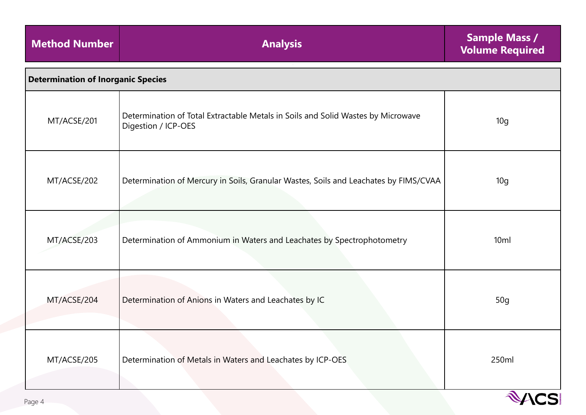<span id="page-3-0"></span>

| <b>Method Number</b>                      | <b>Analysis</b>                                                                                         | <b>Sample Mass /</b><br><b>Volume Required</b> |
|-------------------------------------------|---------------------------------------------------------------------------------------------------------|------------------------------------------------|
| <b>Determination of Inorganic Species</b> |                                                                                                         |                                                |
| MT/ACSE/201                               | Determination of Total Extractable Metals in Soils and Solid Wastes by Microwave<br>Digestion / ICP-OES | 10 <sub>g</sub>                                |
| MT/ACSE/202                               | Determination of Mercury in Soils, Granular Wastes, Soils and Leachates by FIMS/CVAA                    | 10 <sub>g</sub>                                |
| MT/ACSE/203                               | Determination of Ammonium in Waters and Leachates by Spectrophotometry                                  | 10ml                                           |
| MT/ACSE/204                               | Determination of Anions in Waters and Leachates by IC                                                   | 50 <sub>g</sub>                                |
| MT/ACSE/205                               | Determination of Metals in Waters and Leachates by ICP-OES                                              | 250ml                                          |

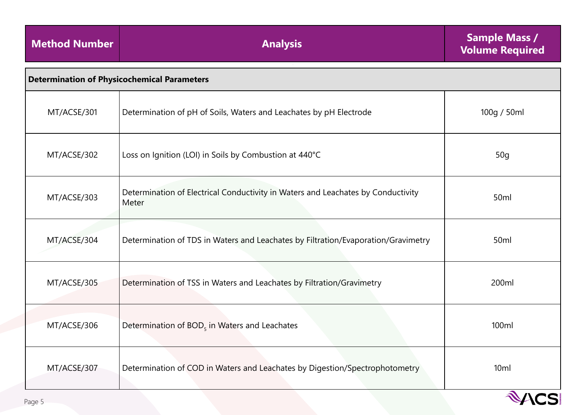<span id="page-4-0"></span>

| <b>Method Number</b> | <b>Analysis</b>                                                                           | <b>Sample Mass /</b><br><b>Volume Required</b> |  |
|----------------------|-------------------------------------------------------------------------------------------|------------------------------------------------|--|
|                      | <b>Determination of Physicochemical Parameters</b>                                        |                                                |  |
| MT/ACSE/301          | Determination of pH of Soils, Waters and Leachates by pH Electrode                        | 100g / 50ml                                    |  |
| MT/ACSE/302          | Loss on Ignition (LOI) in Soils by Combustion at 440°C                                    | 50 <sub>g</sub>                                |  |
| MT/ACSE/303          | Determination of Electrical Conductivity in Waters and Leachates by Conductivity<br>Meter | 50ml                                           |  |
| MT/ACSE/304          | Determination of TDS in Waters and Leachates by Filtration/Evaporation/Gravimetry         | 50ml                                           |  |
| MT/ACSE/305          | Determination of TSS in Waters and Leachates by Filtration/Gravimetry                     | 200ml                                          |  |
| MT/ACSE/306          | Determination of $BOD5$ in Waters and Leachates                                           | 100ml                                          |  |
| MT/ACSE/307          | Determination of COD in Waters and Leachates by Digestion/Spectrophotometry               | 10 <sub>ml</sub>                               |  |

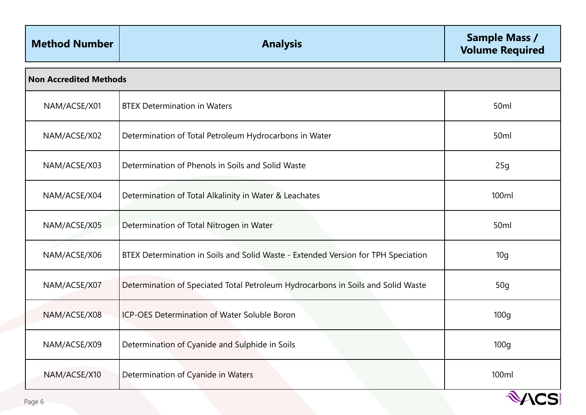<span id="page-5-0"></span>

| <b>Method Number</b>          | <b>Analysis</b>                                                                   | <b>Sample Mass /</b><br><b>Volume Required</b> |
|-------------------------------|-----------------------------------------------------------------------------------|------------------------------------------------|
| <b>Non Accredited Methods</b> |                                                                                   |                                                |
| NAM/ACSE/X01                  | <b>BTEX Determination in Waters</b>                                               | 50ml                                           |
| NAM/ACSE/X02                  | Determination of Total Petroleum Hydrocarbons in Water                            | 50ml                                           |
| NAM/ACSE/X03                  | Determination of Phenols in Soils and Solid Waste                                 | 25g                                            |
| NAM/ACSE/X04                  | Determination of Total Alkalinity in Water & Leachates                            | 100ml                                          |
| NAM/ACSE/X05                  | Determination of Total Nitrogen in Water                                          | 50 <sub>ml</sub>                               |
| NAM/ACSE/X06                  | BTEX Determination in Soils and Solid Waste - Extended Version for TPH Speciation | 10 <sub>g</sub>                                |
| NAM/ACSE/X07                  | Determination of Speciated Total Petroleum Hydrocarbons in Soils and Solid Waste  | 50 <sub>g</sub>                                |
| NAM/ACSE/X08                  | ICP-OES Determination of Water Soluble Boron                                      | 100 <sub>g</sub>                               |
| NAM/ACSE/X09                  | Determination of Cyanide and Sulphide in Soils                                    | 100 <sub>g</sub>                               |
| NAM/ACSE/X10                  | Determination of Cyanide in Waters                                                | 100ml                                          |

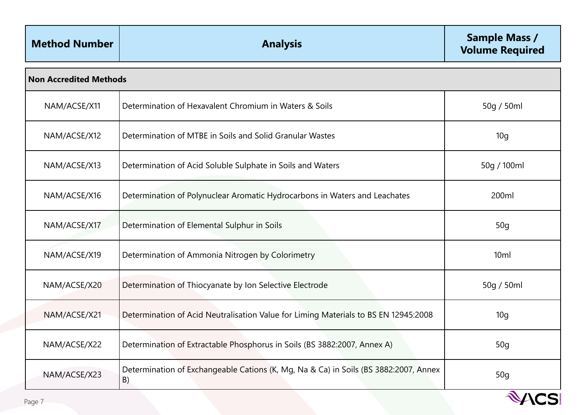<span id="page-6-0"></span>

| <b>Method Number</b> | <b>Analysis</b>                                                                            | <b>Sample Mass /</b><br><b>Volume Required</b> |  |
|----------------------|--------------------------------------------------------------------------------------------|------------------------------------------------|--|
|                      | <b>Non Accredited Methods</b>                                                              |                                                |  |
| NAM/ACSE/X11         | Determination of Hexavalent Chromium in Waters & Soils                                     | 50g / 50ml                                     |  |
| NAM/ACSE/X12         | Determination of MTBE in Soils and Solid Granular Wastes                                   | 10q                                            |  |
| NAM/ACSE/X13         | Determination of Acid Soluble Sulphate in Soils and Waters                                 | 50g / 100ml                                    |  |
| NAM/ACSE/X16         | Determination of Polynuclear Aromatic Hydrocarbons in Waters and Leachates                 | 200ml                                          |  |
| NAM/ACSE/X17         | Determination of Elemental Sulphur in Soils                                                | 50 <sub>g</sub>                                |  |
| NAM/ACSE/X19         | Determination of Ammonia Nitrogen by Colorimetry                                           | 10 <sub>ml</sub>                               |  |
| NAM/ACSE/X20         | Determination of Thiocyanate by Ion Selective Electrode                                    | 50g / 50ml                                     |  |
| NAM/ACSE/X21         | Determination of Acid Neutralisation Value for Liming Materials to BS EN 12945:2008        | 10 <sub>g</sub>                                |  |
| NAM/ACSE/X22         | Determination of Extractable Phosphorus in Soils (BS 3882:2007, Annex A)                   | 50q                                            |  |
| NAM/ACSE/X23         | Determination of Exchangeable Cations (K, Mg, Na & Ca) in Soils (BS 3882:2007, Annex<br>B) | 50 <sub>g</sub>                                |  |
| Page 7               |                                                                                            | ACSI                                           |  |

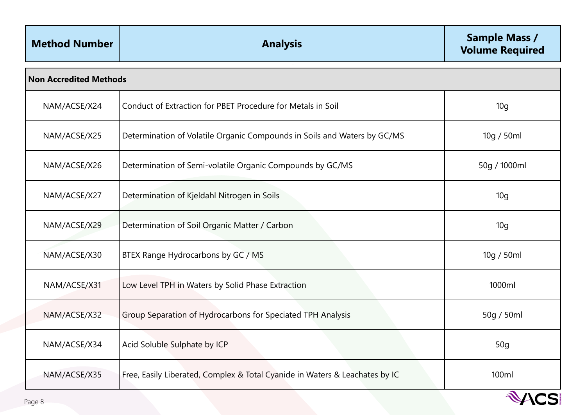<span id="page-7-0"></span>

| <b>Method Number</b>          | <b>Analysis</b>                                                             | <b>Sample Mass /</b><br><b>Volume Required</b> |
|-------------------------------|-----------------------------------------------------------------------------|------------------------------------------------|
| <b>Non Accredited Methods</b> |                                                                             |                                                |
| NAM/ACSE/X24                  | Conduct of Extraction for PBET Procedure for Metals in Soil                 | 10 <sub>g</sub>                                |
| NAM/ACSE/X25                  | Determination of Volatile Organic Compounds in Soils and Waters by GC/MS    | 10g / 50ml                                     |
| NAM/ACSE/X26                  | Determination of Semi-volatile Organic Compounds by GC/MS                   | 50g / 1000ml                                   |
| NAM/ACSE/X27                  | Determination of Kjeldahl Nitrogen in Soils                                 | 10 <sub>g</sub>                                |
| NAM/ACSE/X29                  | Determination of Soil Organic Matter / Carbon                               | 10 <sub>g</sub>                                |
| NAM/ACSE/X30                  | BTEX Range Hydrocarbons by GC / MS                                          | 10g / 50ml                                     |
| NAM/ACSE/X31                  | Low Level TPH in Waters by Solid Phase Extraction                           | 1000ml                                         |
| NAM/ACSE/X32                  | Group Separation of Hydrocarbons for Speciated TPH Analysis                 | 50g / 50ml                                     |
| NAM/ACSE/X34                  | Acid Soluble Sulphate by ICP                                                | 50q                                            |
| NAM/ACSE/X35                  | Free, Easily Liberated, Complex & Total Cyanide in Waters & Leachates by IC | 100ml                                          |